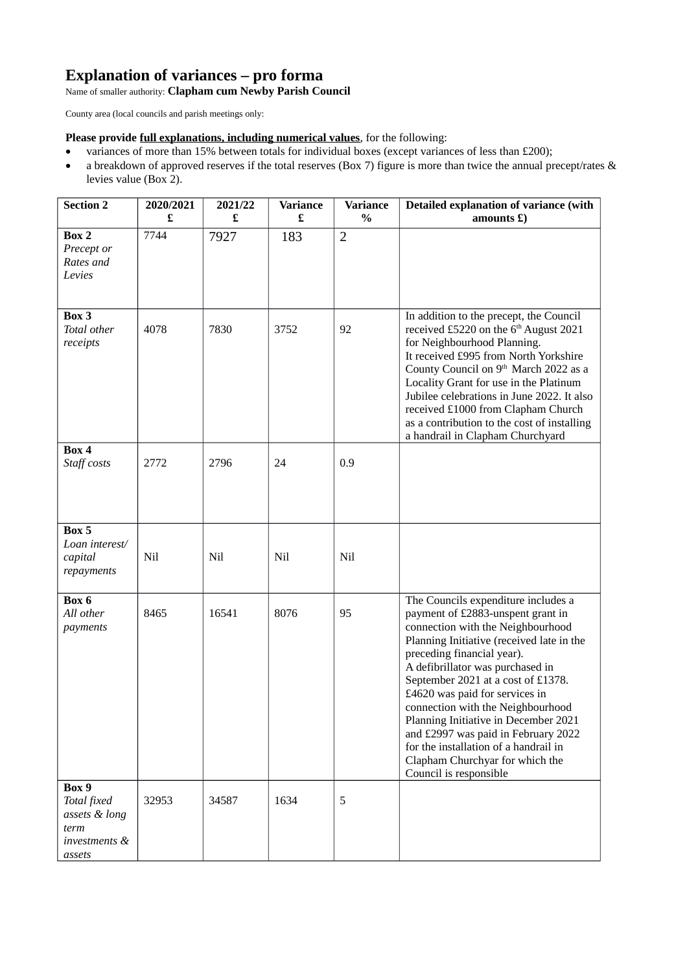## **Explanation of variances – pro forma**

Name of smaller authority: **Clapham cum Newby Parish Council**

County area (local councils and parish meetings only:

**Please provide full explanations, including numerical values**, for the following:

- variances of more than 15% between totals for individual boxes (except variances of less than £200);
- a breakdown of approved reserves if the total reserves (Box 7) figure is more than twice the annual precept/rates & levies value (Box 2).

| <b>Section 2</b>                                                         | 2020/2021 | 2021/22 | <b>Variance</b> | <b>Variance</b> | Detailed explanation of variance (with                                                                                                                                                                                                                                                                                                                                                                                                                                                                                         |
|--------------------------------------------------------------------------|-----------|---------|-----------------|-----------------|--------------------------------------------------------------------------------------------------------------------------------------------------------------------------------------------------------------------------------------------------------------------------------------------------------------------------------------------------------------------------------------------------------------------------------------------------------------------------------------------------------------------------------|
|                                                                          | £         | £       | £               | $\%$            | amounts $E$ )                                                                                                                                                                                                                                                                                                                                                                                                                                                                                                                  |
| Box 2<br>Precept or<br>Rates and<br>Levies                               | 7744      | 7927    | 183             | $\overline{2}$  |                                                                                                                                                                                                                                                                                                                                                                                                                                                                                                                                |
| Box 3<br>Total other<br>receipts                                         | 4078      | 7830    | 3752            | 92              | In addition to the precept, the Council<br>received £5220 on the 6 <sup>th</sup> August 2021<br>for Neighbourhood Planning.<br>It received £995 from North Yorkshire<br>County Council on 9 <sup>th</sup> March 2022 as a<br>Locality Grant for use in the Platinum<br>Jubilee celebrations in June 2022. It also<br>received £1000 from Clapham Church<br>as a contribution to the cost of installing<br>a handrail in Clapham Churchyard                                                                                     |
| Box 4<br>Staff costs                                                     | 2772      | 2796    | 24              | 0.9             |                                                                                                                                                                                                                                                                                                                                                                                                                                                                                                                                |
| Box 5<br>Loan interest/<br>capital<br>repayments                         | Nil       | Nil     | Nil             | Nil             |                                                                                                                                                                                                                                                                                                                                                                                                                                                                                                                                |
| Box 6<br>All other<br>payments                                           | 8465      | 16541   | 8076            | 95              | The Councils expenditure includes a<br>payment of £2883-unspent grant in<br>connection with the Neighbourhood<br>Planning Initiative (received late in the<br>preceding financial year).<br>A defibrillator was purchased in<br>September 2021 at a cost of £1378.<br>£4620 was paid for services in<br>connection with the Neighbourhood<br>Planning Initiative in December 2021<br>and £2997 was paid in February 2022<br>for the installation of a handrail in<br>Clapham Churchyar for which the<br>Council is responsible |
| Box 9<br>Total fixed<br>assets & long<br>term<br>investments &<br>assets | 32953     | 34587   | 1634            | 5               |                                                                                                                                                                                                                                                                                                                                                                                                                                                                                                                                |